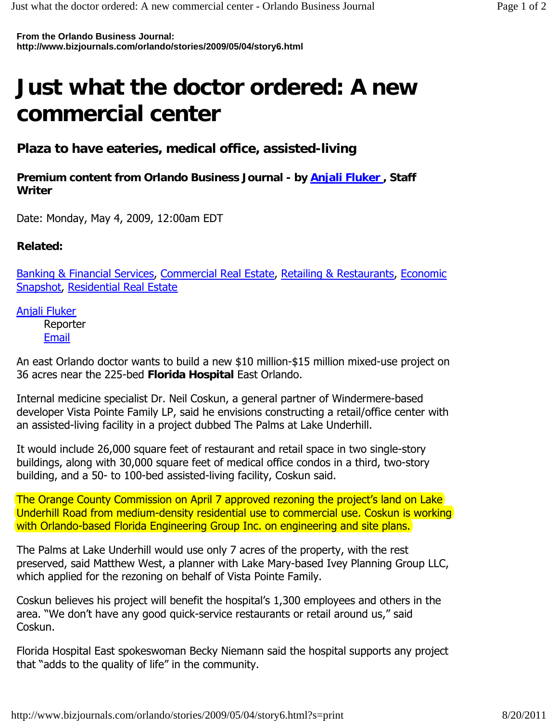**From the Orlando Business Journal: http://www.bizjournals.com/orlando/stories/2009/05/04/story6.html**

## **Just what the doctor ordered: A new commercial center**

**Plaza to have eateries, medical office, assisted-living**

**Premium content from Orlando Business Journal - by Anjali Fluker , Staff Writer** 

Date: Monday, May 4, 2009, 12:00am EDT

**Related:**

Banking & Financial Services, Commercial Real Estate, Retailing & Restaurants, Economic Snapshot, Residential Real Estate

Anjali Fluker

Reporter Email

An east Orlando doctor wants to build a new \$10 million-\$15 million mixed-use project on 36 acres near the 225-bed **Florida Hospital** East Orlando.

Internal medicine specialist Dr. Neil Coskun, a general partner of Windermere-based developer Vista Pointe Family LP, said he envisions constructing a retail/office center with an assisted-living facility in a project dubbed The Palms at Lake Underhill.

It would include 26,000 square feet of restaurant and retail space in two single-story buildings, along with 30,000 square feet of medical office condos in a third, two-story building, and a 50- to 100-bed assisted-living facility, Coskun said.

The Orange County Commission on April 7 approved rezoning the project's land on Lake Underhill Road from medium-density residential use to commercial use. Coskun is working with Orlando-based Florida Engineering Group Inc. on engineering and site plans.

The Palms at Lake Underhill would use only 7 acres of the property, with the rest preserved, said Matthew West, a planner with Lake Mary-based Ivey Planning Group LLC, which applied for the rezoning on behalf of Vista Pointe Family.

Coskun believes his project will benefit the hospital's 1,300 employees and others in the area. "We don't have any good quick-service restaurants or retail around us," said Coskun.

Florida Hospital East spokeswoman Becky Niemann said the hospital supports any project that "adds to the quality of life" in the community.